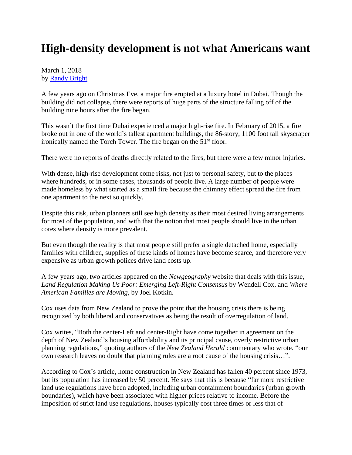## **High-density development is not what Americans want**

March 1, 2018 by [Randy Bright](http://tulsabeacon.com/writers/randy-bright/)

A few years ago on Christmas Eve, a major fire erupted at a luxury hotel in Dubai. Though the building did not collapse, there were reports of huge parts of the structure falling off of the building nine hours after the fire began.

This wasn't the first time Dubai experienced a major high-rise fire. In February of 2015, a fire broke out in one of the world's tallest apartment buildings, the 86-story, 1100 foot tall skyscraper ironically named the Torch Tower. The fire began on the  $51<sup>st</sup>$  floor.

There were no reports of deaths directly related to the fires, but there were a few minor injuries.

With dense, high-rise development come risks, not just to personal safety, but to the places where hundreds, or in some cases, thousands of people live. A large number of people were made homeless by what started as a small fire because the chimney effect spread the fire from one apartment to the next so quickly.

Despite this risk, urban planners still see high density as their most desired living arrangements for most of the population, and with that the notion that most people should live in the urban cores where density is more prevalent.

But even though the reality is that most people still prefer a single detached home, especially families with children, supplies of these kinds of homes have become scarce, and therefore very expensive as urban growth polices drive land costs up.

A few years ago, two articles appeared on the *Newgeography* website that deals with this issue, *Land Regulation Making Us Poor: Emerging Left-Right Consensus* by Wendell Cox, and *Where American Families are Moving,* by Joel Kotkin.

Cox uses data from New Zealand to prove the point that the housing crisis there is being recognized by both liberal and conservatives as being the result of overregulation of land.

Cox writes, "Both the center-Left and center-Right have come together in agreement on the depth of New Zealand's housing affordability and its principal cause, overly restrictive urban planning regulations," quoting authors of the *New Zealand Herald* commentary who wrote. "our own research leaves no doubt that planning rules are a root cause of the housing crisis…".

According to Cox's article, home construction in New Zealand has fallen 40 percent since 1973, but its population has increased by 50 percent. He says that this is because "far more restrictive land use regulations have been adopted, including urban containment boundaries (urban growth boundaries), which have been associated with higher prices relative to income. Before the imposition of strict land use regulations, houses typically cost three times or less that of